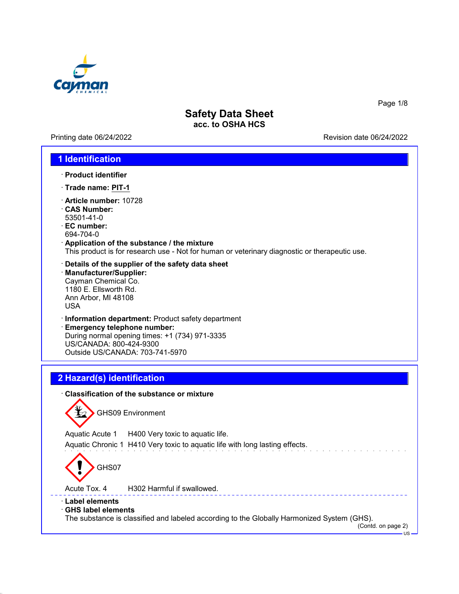

Printing date 06/24/2022 **Revision date 06/24/2022** 

Page 1/8

#### **1 Identification**

- · **Product identifier**
- · **Trade name: PIT-1**
- · **Article number:** 10728
- · **CAS Number:** 53501-41-0
- · **EC number:** 694-704-0
- · **Application of the substance / the mixture** This product is for research use - Not for human or veterinary diagnostic or therapeutic use.
- · **Details of the supplier of the safety data sheet** · **Manufacturer/Supplier:** Cayman Chemical Co. 1180 E. Ellsworth Rd. Ann Arbor, MI 48108 USA
- · **Information department:** Product safety department
- · **Emergency telephone number:** During normal opening times: +1 (734) 971-3335 US/CANADA: 800-424-9300 Outside US/CANADA: 703-741-5970

### **2 Hazard(s) identification**

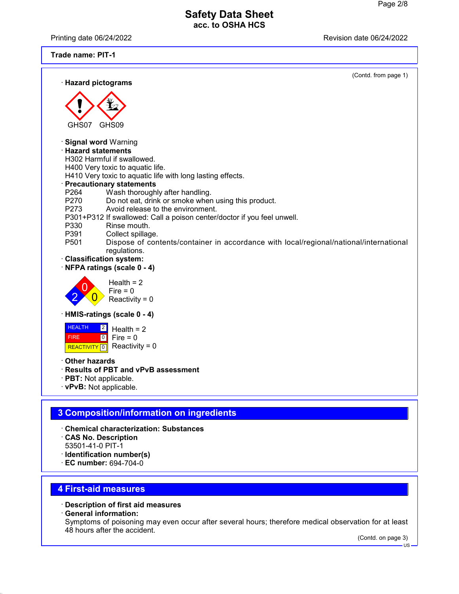Printing date 06/24/2022 **Printing date 06/24/2022** 

**Trade name: PIT-1**

| · Hazard pictograms                                                                                                                                                                                                                                                                                                                                                                                                                                                                                                                                                                                                                                                                                       | (Contd. from page 1) |
|-----------------------------------------------------------------------------------------------------------------------------------------------------------------------------------------------------------------------------------------------------------------------------------------------------------------------------------------------------------------------------------------------------------------------------------------------------------------------------------------------------------------------------------------------------------------------------------------------------------------------------------------------------------------------------------------------------------|----------------------|
|                                                                                                                                                                                                                                                                                                                                                                                                                                                                                                                                                                                                                                                                                                           |                      |
| GHS09<br>GHS07                                                                                                                                                                                                                                                                                                                                                                                                                                                                                                                                                                                                                                                                                            |                      |
| <b>Signal word Warning</b><br>$\cdot$ Hazard statements<br>H302 Harmful if swallowed.<br>H400 Very toxic to aquatic life.<br>H410 Very toxic to aquatic life with long lasting effects.<br><b>Precautionary statements</b><br>P <sub>264</sub><br>Wash thoroughly after handling.<br>P270<br>Do not eat, drink or smoke when using this product.<br>Avoid release to the environment.<br>P273<br>P301+P312 If swallowed: Call a poison center/doctor if you feel unwell.<br>P330<br>Rinse mouth.<br>P391<br>Collect spillage.<br>P501<br>Dispose of contents/container in accordance with local/regional/national/international<br>regulations.<br>· Classification system:<br>NFPA ratings (scale 0 - 4) |                      |
| Health = $2$<br>$Fire = 0$<br>Reactivity = $0$                                                                                                                                                                                                                                                                                                                                                                                                                                                                                                                                                                                                                                                            |                      |
| HMIS-ratings (scale 0 - 4)                                                                                                                                                                                                                                                                                                                                                                                                                                                                                                                                                                                                                                                                                |                      |
| <b>HEALTH</b><br>$\boxed{2}$<br>Health $= 2$<br>$\boxed{0}$<br>Fire $= 0$<br><b>FIRE</b><br>Reactivity = $0$<br>REACTIVITY <sup>0</sup>                                                                                                                                                                                                                                                                                                                                                                                                                                                                                                                                                                   |                      |
| <b>Other hazards</b><br>· Results of PBT and vPvB assessment<br>· PBT: Not applicable.<br>· vPvB: Not applicable.                                                                                                                                                                                                                                                                                                                                                                                                                                                                                                                                                                                         |                      |
|                                                                                                                                                                                                                                                                                                                                                                                                                                                                                                                                                                                                                                                                                                           |                      |
| 3 Composition/information on ingredients                                                                                                                                                                                                                                                                                                                                                                                                                                                                                                                                                                                                                                                                  |                      |
| <b>Chemical characterization: Substances</b><br><b>CAS No. Description</b><br>53501-41-0 PIT-1<br>· Identification number(s)<br>EC number: 694-704-0                                                                                                                                                                                                                                                                                                                                                                                                                                                                                                                                                      |                      |
|                                                                                                                                                                                                                                                                                                                                                                                                                                                                                                                                                                                                                                                                                                           |                      |

# **4 First-aid measures**

- · **Description of first aid measures**
- · **General information:**

Symptoms of poisoning may even occur after several hours; therefore medical observation for at least 48 hours after the accident.

(Contd. on page 3)

US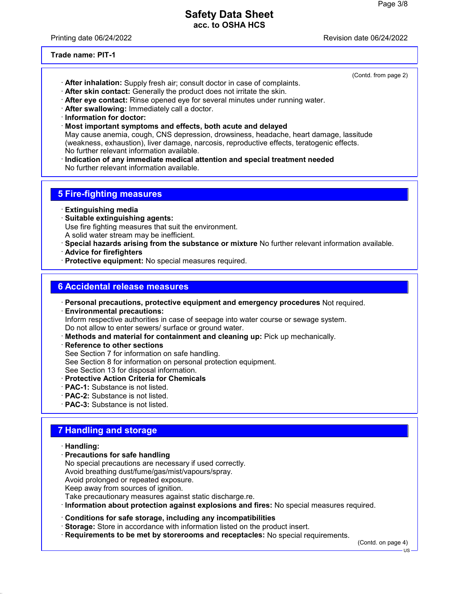Printing date 06/24/2022 **Printing date 06/24/2022** 

(Contd. from page 2)

**Trade name: PIT-1**

- · **After inhalation:** Supply fresh air; consult doctor in case of complaints.
- · **After skin contact:** Generally the product does not irritate the skin.
- · **After eye contact:** Rinse opened eye for several minutes under running water.
- · **After swallowing:** Immediately call a doctor.
- · **Information for doctor:**
- · **Most important symptoms and effects, both acute and delayed** May cause anemia, cough, CNS depression, drowsiness, headache, heart damage, lassitude (weakness, exhaustion), liver damage, narcosis, reproductive effects, teratogenic effects. No further relevant information available.
- · **Indication of any immediate medical attention and special treatment needed** No further relevant information available.

## **5 Fire-fighting measures**

- · **Extinguishing media**
- · **Suitable extinguishing agents:** Use fire fighting measures that suit the environment. A solid water stream may be inefficient.
- · **Special hazards arising from the substance or mixture** No further relevant information available.
- · **Advice for firefighters**
- · **Protective equipment:** No special measures required.

### **6 Accidental release measures**

- · **Personal precautions, protective equipment and emergency procedures** Not required.
- · **Environmental precautions:** Inform respective authorities in case of seepage into water course or sewage system. Do not allow to enter sewers/ surface or ground water.
- · **Methods and material for containment and cleaning up:** Pick up mechanically.
- · **Reference to other sections**
- See Section 7 for information on safe handling.
- See Section 8 for information on personal protection equipment.
- See Section 13 for disposal information.
- · **Protective Action Criteria for Chemicals**
- · **PAC-1:** Substance is not listed.
- · **PAC-2:** Substance is not listed.
- · **PAC-3:** Substance is not listed.

## **7 Handling and storage**

- · **Handling:**
- · **Precautions for safe handling**
- No special precautions are necessary if used correctly.
- Avoid breathing dust/fume/gas/mist/vapours/spray.
- Avoid prolonged or repeated exposure.
- Keep away from sources of ignition.
- Take precautionary measures against static discharge.re.
- · **Information about protection against explosions and fires:** No special measures required.
- · **Conditions for safe storage, including any incompatibilities**
- · **Storage:** Store in accordance with information listed on the product insert.
- · **Requirements to be met by storerooms and receptacles:** No special requirements.

(Contd. on page 4)

US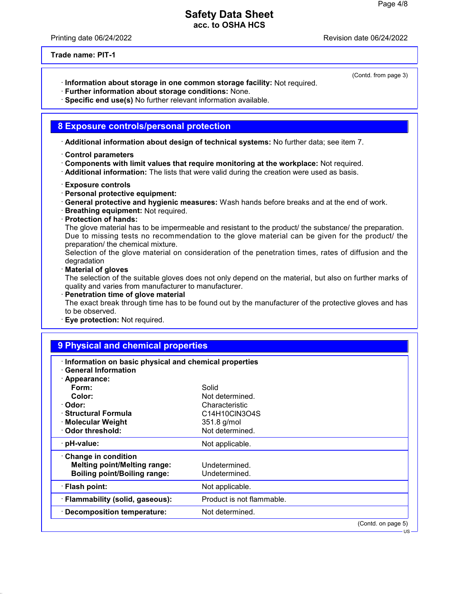Printing date 06/24/2022 Revision date 06/24/2022

(Contd. from page 3)

**Trade name: PIT-1**

- · **Information about storage in one common storage facility:** Not required.
- · **Further information about storage conditions:** None.
- · **Specific end use(s)** No further relevant information available.

#### **8 Exposure controls/personal protection**

· **Additional information about design of technical systems:** No further data; see item 7.

- · **Control parameters**
- · **Components with limit values that require monitoring at the workplace:** Not required.
- · **Additional information:** The lists that were valid during the creation were used as basis.
- · **Exposure controls**
- · **Personal protective equipment:**
- · **General protective and hygienic measures:** Wash hands before breaks and at the end of work.
- · **Breathing equipment:** Not required.
- · **Protection of hands:**

The glove material has to be impermeable and resistant to the product/ the substance/ the preparation. Due to missing tests no recommendation to the glove material can be given for the product/ the preparation/ the chemical mixture.

Selection of the glove material on consideration of the penetration times, rates of diffusion and the degradation

· **Material of gloves**

The selection of the suitable gloves does not only depend on the material, but also on further marks of quality and varies from manufacturer to manufacturer.

· **Penetration time of glove material**

The exact break through time has to be found out by the manufacturer of the protective gloves and has to be observed.

· **Eye protection:** Not required.

| 9 Physical and chemical properties                    |                           |                    |  |
|-------------------------------------------------------|---------------------------|--------------------|--|
| Information on basic physical and chemical properties |                           |                    |  |
| <b>General Information</b>                            |                           |                    |  |
| · Appearance:                                         |                           |                    |  |
| Form:                                                 | Solid                     |                    |  |
| Color:                                                | Not determined.           |                    |  |
| · Odor:                                               | Characteristic            |                    |  |
| · Structural Formula                                  | C14H10CIN3O4S             |                    |  |
| · Molecular Weight                                    | 351.8 g/mol               |                    |  |
| Odor threshold:                                       | Not determined.           |                    |  |
| · pH-value:                                           | Not applicable.           |                    |  |
| Change in condition                                   |                           |                    |  |
| <b>Melting point/Melting range:</b>                   | Undetermined.             |                    |  |
| <b>Boiling point/Boiling range:</b>                   | Undetermined.             |                    |  |
| · Flash point:                                        | Not applicable.           |                    |  |
| · Flammability (solid, gaseous):                      | Product is not flammable. |                    |  |
| · Decomposition temperature:                          | Not determined.           |                    |  |
|                                                       |                           | (Contd. on page 5) |  |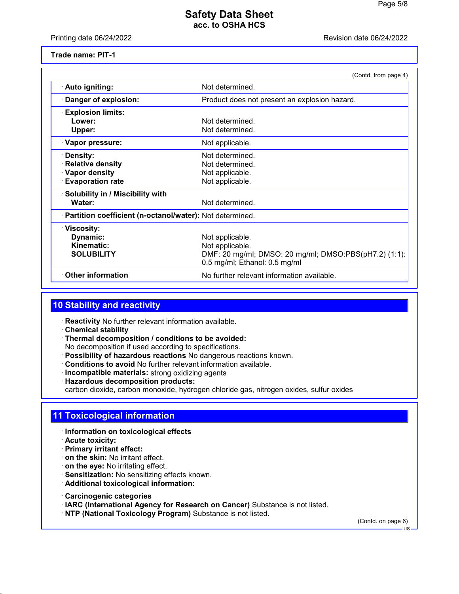Printing date 06/24/2022 Revision date 06/24/2022

**Trade name: PIT-1**

|                                                            | (Contd. from page 4)                                                                   |  |
|------------------------------------------------------------|----------------------------------------------------------------------------------------|--|
| · Auto igniting:                                           | Not determined.                                                                        |  |
| · Danger of explosion:                                     | Product does not present an explosion hazard.                                          |  |
| $\cdot$ Explosion limits:                                  |                                                                                        |  |
| Lower:                                                     | Not determined.                                                                        |  |
| Upper:                                                     | Not determined.                                                                        |  |
| · Vapor pressure:                                          | Not applicable.                                                                        |  |
| · Density:                                                 | Not determined.                                                                        |  |
| <b>Relative density</b>                                    | Not determined.                                                                        |  |
| · Vapor density                                            | Not applicable.                                                                        |  |
| <b>Evaporation rate</b>                                    | Not applicable.                                                                        |  |
| · Solubility in / Miscibility with                         |                                                                                        |  |
| Water:                                                     | Not determined.                                                                        |  |
| · Partition coefficient (n-octanol/water): Not determined. |                                                                                        |  |
| · Viscosity:                                               |                                                                                        |  |
| Dynamic:                                                   | Not applicable.                                                                        |  |
| Kinematic:                                                 | Not applicable.                                                                        |  |
| <b>SOLUBILITY</b>                                          | DMF: 20 mg/ml; DMSO: 20 mg/ml; DMSO:PBS(pH7.2) (1:1):<br>0.5 mg/ml; Ethanol: 0.5 mg/ml |  |
| <b>⋅ Other information</b>                                 | No further relevant information available.                                             |  |

## **10 Stability and reactivity**

· **Reactivity** No further relevant information available.

- · **Chemical stability**
- · **Thermal decomposition / conditions to be avoided:** No decomposition if used according to specifications.
- · **Possibility of hazardous reactions** No dangerous reactions known.
- · **Conditions to avoid** No further relevant information available.
- · **Incompatible materials:** strong oxidizing agents
- · **Hazardous decomposition products:**

carbon dioxide, carbon monoxide, hydrogen chloride gas, nitrogen oxides, sulfur oxides

## **11 Toxicological information**

- · **Information on toxicological effects**
- · **Acute toxicity:**
- · **Primary irritant effect:**
- · **on the skin:** No irritant effect.
- · **on the eye:** No irritating effect.
- · **Sensitization:** No sensitizing effects known.
- · **Additional toxicological information:**
- · **Carcinogenic categories**
- · **IARC (International Agency for Research on Cancer)** Substance is not listed.
- · **NTP (National Toxicology Program)** Substance is not listed.

(Contd. on page 6)

US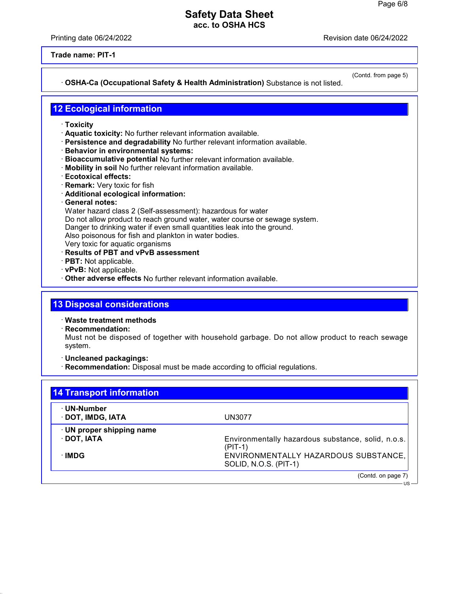Printing date 06/24/2022 Revision date 06/24/2022

**Trade name: PIT-1**

#### · **OSHA-Ca (Occupational Safety & Health Administration)** Substance is not listed.

(Contd. from page 5)

US

## **12 Ecological information**

- · **Toxicity**
- · **Aquatic toxicity:** No further relevant information available.
- · **Persistence and degradability** No further relevant information available.
- · **Behavior in environmental systems:**
- · **Bioaccumulative potential** No further relevant information available.
- · **Mobility in soil** No further relevant information available.
- · **Ecotoxical effects:**
- · **Remark:** Very toxic for fish
- · **Additional ecological information:**
- · **General notes:**

Water hazard class 2 (Self-assessment): hazardous for water Do not allow product to reach ground water, water course or sewage system. Danger to drinking water if even small quantities leak into the ground. Also poisonous for fish and plankton in water bodies.

Very toxic for aquatic organisms

- · **Results of PBT and vPvB assessment**
- · **PBT:** Not applicable.
- · **vPvB:** Not applicable.
- · **Other adverse effects** No further relevant information available.

### **13 Disposal considerations**

· **Waste treatment methods**

· **Recommendation:**

Must not be disposed of together with household garbage. Do not allow product to reach sewage system.

- · **Uncleaned packagings:**
- · **Recommendation:** Disposal must be made according to official regulations.

| 14 Transport information         |                                                                 |
|----------------------------------|-----------------------------------------------------------------|
| · UN-Number<br>· DOT, IMDG, IATA | UN3077                                                          |
| · UN proper shipping name        |                                                                 |
| $\cdot$ DOT, IATA                | Environmentally hazardous substance, solid, n.o.s.<br>$(PIT-1)$ |
| ∴IMDG                            | ENVIRONMENTALLY HAZARDOUS SUBSTANCE,<br>SOLID, N.O.S. (PIT-1)   |
|                                  | (Contd. on page 7)                                              |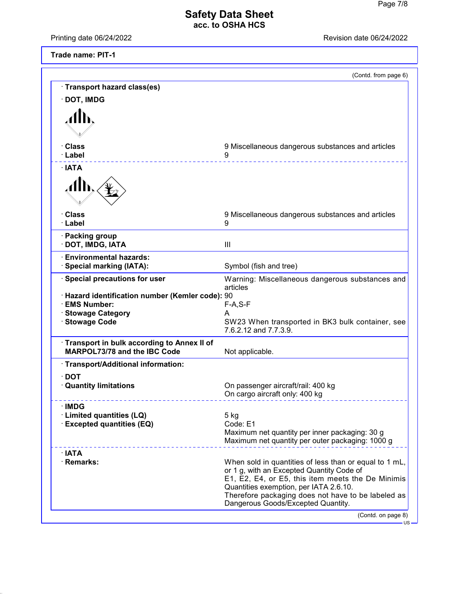Printing date 06/24/2022 Revision date 06/24/2022

**Trade name: PIT-1**

|                                                                                   | (Contd. from page 6)                                                                                                                                                                                                                                                                           |
|-----------------------------------------------------------------------------------|------------------------------------------------------------------------------------------------------------------------------------------------------------------------------------------------------------------------------------------------------------------------------------------------|
| Transport hazard class(es)                                                        |                                                                                                                                                                                                                                                                                                |
| <b>DOT, IMDG</b>                                                                  |                                                                                                                                                                                                                                                                                                |
|                                                                                   |                                                                                                                                                                                                                                                                                                |
|                                                                                   |                                                                                                                                                                                                                                                                                                |
| ∙ Class                                                                           | 9 Miscellaneous dangerous substances and articles                                                                                                                                                                                                                                              |
| · Label                                                                           | 9                                                                                                                                                                                                                                                                                              |
| · IATA                                                                            |                                                                                                                                                                                                                                                                                                |
|                                                                                   |                                                                                                                                                                                                                                                                                                |
| · Class<br>· Label                                                                | 9 Miscellaneous dangerous substances and articles<br>9                                                                                                                                                                                                                                         |
| · Packing group<br>· DOT, IMDG, IATA                                              | Ш                                                                                                                                                                                                                                                                                              |
| <b>Environmental hazards:</b><br>· Special marking (IATA):                        | Symbol (fish and tree)                                                                                                                                                                                                                                                                         |
| · Special precautions for user                                                    | Warning: Miscellaneous dangerous substances and<br>articles                                                                                                                                                                                                                                    |
| · Hazard identification number (Kemler code): 90                                  |                                                                                                                                                                                                                                                                                                |
| <b>EMS Number:</b><br><b>Stowage Category</b>                                     | $F-A, S-F$<br>A                                                                                                                                                                                                                                                                                |
| <b>Stowage Code</b>                                                               | SW23 When transported in BK3 bulk container, see<br>7.6.2.12 and 7.7.3.9.                                                                                                                                                                                                                      |
| Transport in bulk according to Annex II of<br><b>MARPOL73/78 and the IBC Code</b> | Not applicable.                                                                                                                                                                                                                                                                                |
| · Transport/Additional information:                                               |                                                                                                                                                                                                                                                                                                |
| $\cdot$ DOT                                                                       |                                                                                                                                                                                                                                                                                                |
| <b>Quantity limitations</b>                                                       | On passenger aircraft/rail: 400 kg<br>On cargo aircraft only: 400 kg                                                                                                                                                                                                                           |
| <b>IMDG</b>                                                                       |                                                                                                                                                                                                                                                                                                |
| <b>Limited quantities (LQ)</b>                                                    | 5 kg<br>Code: E1                                                                                                                                                                                                                                                                               |
| <b>Excepted quantities (EQ)</b>                                                   | Maximum net quantity per inner packaging: 30 g<br>Maximum net quantity per outer packaging: 1000 g                                                                                                                                                                                             |
| $\cdot$ IATA                                                                      |                                                                                                                                                                                                                                                                                                |
| · Remarks:                                                                        | When sold in quantities of less than or equal to 1 mL,<br>or 1 g, with an Excepted Quantity Code of<br>E1, E2, E4, or E5, this item meets the De Minimis<br>Quantities exemption, per IATA 2.6.10.<br>Therefore packaging does not have to be labeled as<br>Dangerous Goods/Excepted Quantity. |
|                                                                                   | (Contd. on page 8)                                                                                                                                                                                                                                                                             |